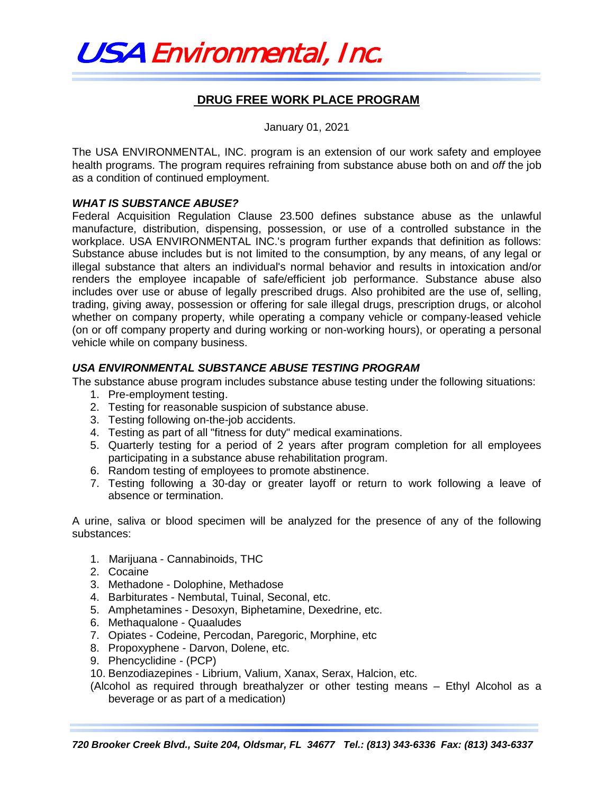

## **DRUG FREE WORK PLACE PROGRAM**

January 01, 2021

The USA ENVIRONMENTAL, INC. program is an extension of our work safety and employee health programs. The program requires refraining from substance abuse both on and *off* the job as a condition of continued employment.

## *WHAT IS SUBSTANCE ABUSE?*

Federal Acquisition Regulation Clause 23.500 defines substance abuse as the unlawful manufacture, distribution, dispensing, possession, or use of a controlled substance in the workplace. USA ENVIRONMENTAL INC.'s program further expands that definition as follows: Substance abuse includes but is not limited to the consumption, by any means, of any legal or illegal substance that alters an individual's normal behavior and results in intoxication and/or renders the employee incapable of safe/efficient job performance. Substance abuse also includes over use or abuse of legally prescribed drugs. Also prohibited are the use of, selling, trading, giving away, possession or offering for sale illegal drugs, prescription drugs, or alcohol whether on company property, while operating a company vehicle or company-leased vehicle (on or off company property and during working or non-working hours), or operating a personal vehicle while on company business.

## *USA ENVIRONMENTAL SUBSTANCE ABUSE TESTING PROGRAM*

The substance abuse program includes substance abuse testing under the following situations:

- 1. Pre-employment testing.
- 2. Testing for reasonable suspicion of substance abuse.
- 3. Testing following on-the-job accidents.
- 4. Testing as part of all "fitness for duty" medical examinations.
- 5. Quarterly testing for a period of 2 years after program completion for all employees participating in a substance abuse rehabilitation program.
- 6. Random testing of employees to promote abstinence.
- 7. Testing following a 30-day or greater layoff or return to work following a leave of absence or termination.

A urine, saliva or blood specimen will be analyzed for the presence of any of the following substances:

- 1. Marijuana Cannabinoids, THC
- 2. Cocaine
- 3. Methadone Dolophine, Methadose
- 4. Barbiturates Nembutal, Tuinal, Seconal, etc.
- 5. Amphetamines Desoxyn, Biphetamine, Dexedrine, etc.
- 6. Methaqualone Quaaludes
- 7. Opiates Codeine, Percodan, Paregoric, Morphine, etc
- 8. Propoxyphene Darvon, Dolene, etc.
- 9. Phencyclidine (PCP)
- 10. Benzodiazepines Librium, Valium, Xanax, Serax, Halcion, etc.

(Alcohol as required through breathalyzer or other testing means – Ethyl Alcohol as a beverage or as part of a medication)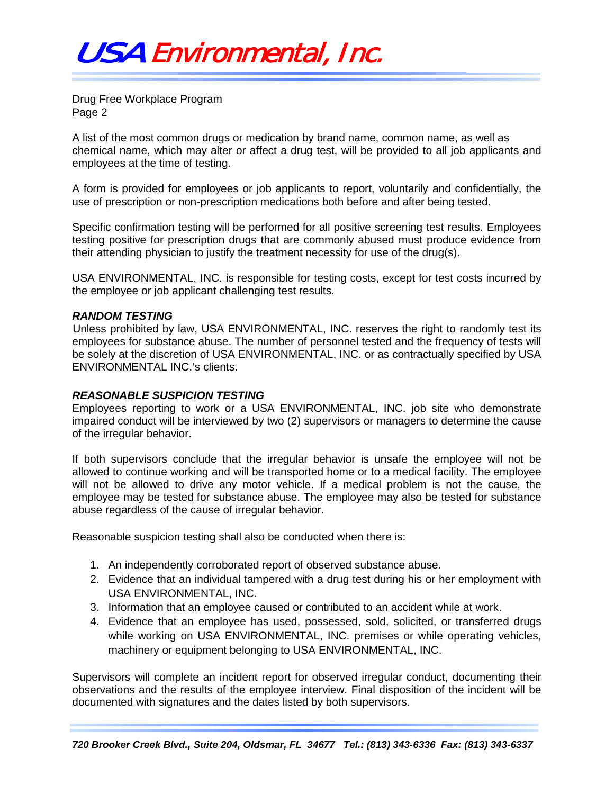Drug Free Workplace Program Page 2

A list of the most common drugs or medication by brand name, common name, as well as chemical name, which may alter or affect a drug test, will be provided to all job applicants and employees at the time of testing.

A form is provided for employees or job applicants to report, voluntarily and confidentially, the use of prescription or non-prescription medications both before and after being tested.

Specific confirmation testing will be performed for all positive screening test results. Employees testing positive for prescription drugs that are commonly abused must produce evidence from their attending physician to justify the treatment necessity for use of the drug(s).

USA ENVIRONMENTAL, INC. is responsible for testing costs, except for test costs incurred by the employee or job applicant challenging test results.

#### *RANDOM TESTING*

Unless prohibited by law, USA ENVIRONMENTAL, INC. reserves the right to randomly test its employees for substance abuse. The number of personnel tested and the frequency of tests will be solely at the discretion of USA ENVIRONMENTAL, INC. or as contractually specified by USA ENVIRONMENTAL INC.'s clients.

### *REASONABLE SUSPICION TESTING*

Employees reporting to work or a USA ENVIRONMENTAL, INC. job site who demonstrate impaired conduct will be interviewed by two (2) supervisors or managers to determine the cause of the irregular behavior.

If both supervisors conclude that the irregular behavior is unsafe the employee will not be allowed to continue working and will be transported home or to a medical facility. The employee will not be allowed to drive any motor vehicle. If a medical problem is not the cause, the employee may be tested for substance abuse. The employee may also be tested for substance abuse regardless of the cause of irregular behavior.

Reasonable suspicion testing shall also be conducted when there is:

- 1. An independently corroborated report of observed substance abuse.
- 2. Evidence that an individual tampered with a drug test during his or her employment with USA ENVIRONMENTAL, INC.
- 3. Information that an employee caused or contributed to an accident while at work.
- 4. Evidence that an employee has used, possessed, sold, solicited, or transferred drugs while working on USA ENVIRONMENTAL, INC. premises or while operating vehicles, machinery or equipment belonging to USA ENVIRONMENTAL, INC.

Supervisors will complete an incident report for observed irregular conduct, documenting their observations and the results of the employee interview. Final disposition of the incident will be documented with signatures and the dates listed by both supervisors.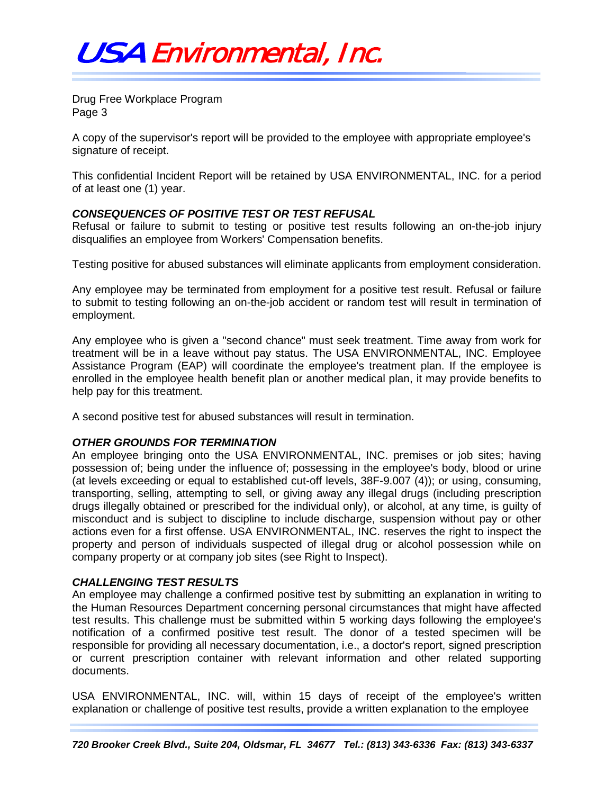# USA Environmental, Inc.

Drug Free Workplace Program Page 3

A copy of the supervisor's report will be provided to the employee with appropriate employee's signature of receipt.

This confidential Incident Report will be retained by USA ENVIRONMENTAL, INC. for a period of at least one (1) year.

## *CONSEQUENCES OF POSITIVE TEST OR TEST REFUSAL*

Refusal or failure to submit to testing or positive test results following an on-the-job injury disqualifies an employee from Workers' Compensation benefits.

Testing positive for abused substances will eliminate applicants from employment consideration.

Any employee may be terminated from employment for a positive test result. Refusal or failure to submit to testing following an on-the-job accident or random test will result in termination of employment.

Any employee who is given a "second chance" must seek treatment. Time away from work for treatment will be in a leave without pay status. The USA ENVIRONMENTAL, INC. Employee Assistance Program (EAP) will coordinate the employee's treatment plan. If the employee is enrolled in the employee health benefit plan or another medical plan, it may provide benefits to help pay for this treatment.

A second positive test for abused substances will result in termination.

## *OTHER GROUNDS FOR TERMINATION*

An employee bringing onto the USA ENVIRONMENTAL, INC. premises or job sites; having possession of; being under the influence of; possessing in the employee's body, blood or urine (at levels exceeding or equal to established cut-off levels, 38F-9.007 (4)); or using, consuming, transporting, selling, attempting to sell, or giving away any illegal drugs (including prescription drugs illegally obtained or prescribed for the individual only), or alcohol, at any time, is guilty of misconduct and is subject to discipline to include discharge, suspension without pay or other actions even for a first offense. USA ENVIRONMENTAL, INC. reserves the right to inspect the property and person of individuals suspected of illegal drug or alcohol possession while on company property or at company job sites (see Right to Inspect).

#### *CHALLENGING TEST RESULTS*

An employee may challenge a confirmed positive test by submitting an explanation in writing to the Human Resources Department concerning personal circumstances that might have affected test results. This challenge must be submitted within 5 working days following the employee's notification of a confirmed positive test result. The donor of a tested specimen will be responsible for providing all necessary documentation, i.e., a doctor's report, signed prescription or current prescription container with relevant information and other related supporting documents.

USA ENVIRONMENTAL, INC. will, within 15 days of receipt of the employee's written explanation or challenge of positive test results, provide a written explanation to the employee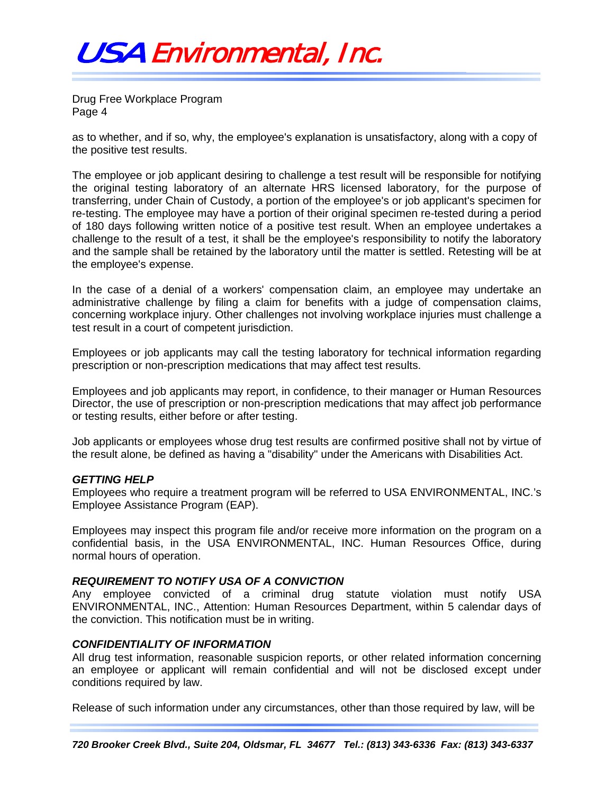

Drug Free Workplace Program Page 4

as to whether, and if so, why, the employee's explanation is unsatisfactory, along with a copy of the positive test results.

The employee or job applicant desiring to challenge a test result will be responsible for notifying the original testing laboratory of an alternate HRS licensed laboratory, for the purpose of transferring, under Chain of Custody, a portion of the employee's or job applicant's specimen for re-testing. The employee may have a portion of their original specimen re-tested during a period of 180 days following written notice of a positive test result. When an employee undertakes a challenge to the result of a test, it shall be the employee's responsibility to notify the laboratory and the sample shall be retained by the laboratory until the matter is settled. Retesting will be at the employee's expense.

In the case of a denial of a workers' compensation claim, an employee may undertake an administrative challenge by filing a claim for benefits with a judge of compensation claims, concerning workplace injury. Other challenges not involving workplace injuries must challenge a test result in a court of competent jurisdiction.

Employees or job applicants may call the testing laboratory for technical information regarding prescription or non-prescription medications that may affect test results.

Employees and job applicants may report, in confidence, to their manager or Human Resources Director, the use of prescription or non-prescription medications that may affect job performance or testing results, either before or after testing.

Job applicants or employees whose drug test results are confirmed positive shall not by virtue of the result alone, be defined as having a "disability" under the Americans with Disabilities Act.

#### *GETTING HELP*

Employees who require a treatment program will be referred to USA ENVIRONMENTAL, INC.'s Employee Assistance Program (EAP).

Employees may inspect this program file and/or receive more information on the program on a confidential basis, in the USA ENVIRONMENTAL, INC. Human Resources Office, during normal hours of operation.

### *REQUIREMENT TO NOTIFY USA OF A CONVICTION*

Any employee convicted of a criminal drug statute violation must notify USA ENVIRONMENTAL, INC., Attention: Human Resources Department, within 5 calendar days of the conviction. This notification must be in writing.

#### *CONFIDENTIALITY OF INFORMATION*

All drug test information, reasonable suspicion reports, or other related information concerning an employee or applicant will remain confidential and will not be disclosed except under conditions required by law.

Release of such information under any circumstances, other than those required by law, will be